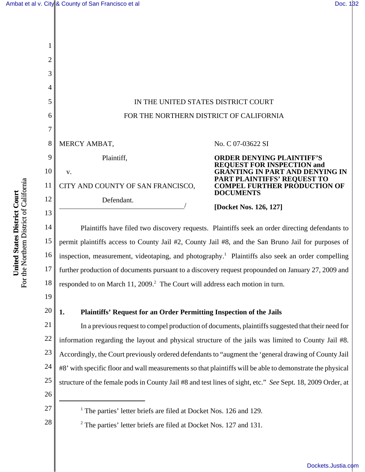

15 16 17 18 Plaintiffs have filed two discovery requests. Plaintiffs seek an order directing defendants to permit plaintiffs access to County Jail #2, County Jail #8, and the San Bruno Jail for purposes of inspection, measurement, videotaping, and photography.<sup>1</sup> Plaintiffs also seek an order compelling further production of documents pursuant to a discovery request propounded on January 27, 2009 and responded to on March 11, 2009.<sup>2</sup> The Court will address each motion in turn.

- 19
- 20

# **1. Plaintiffs' Request for an Order Permitting Inspection of the Jails**

21 22 23 24 25 In a previous request to compel production of documents, plaintiffs suggested that their need for information regarding the layout and physical structure of the jails was limited to County Jail #8. Accordingly, the Court previously ordered defendants to "augment the 'general drawing of County Jail #8' with specific floor and wall measurements so that plaintiffs will be able to demonstrate the physical structure of the female pods in County Jail #8 and test lines of sight, etc." *See* Sept. 18, 2009 Order, at

- 26
- 27

28

<sup>1</sup> The parties' letter briefs are filed at Docket Nos. 126 and 129.

<sup>2</sup> The parties' letter briefs are filed at Docket Nos. 127 and 131.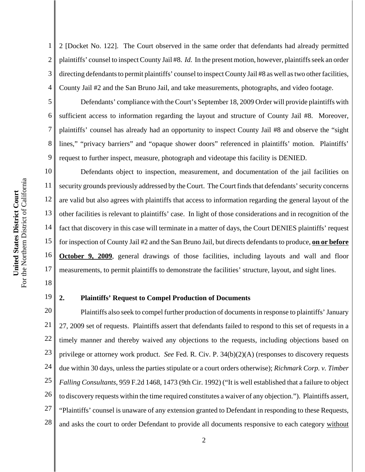1 2 3 4 2 [Docket No. 122]. The Court observed in the same order that defendants had already permitted plaintiffs' counsel to inspect County Jail #8. *Id.* In the present motion, however, plaintiffs seek an order directing defendants to permit plaintiffs' counsel to inspect County Jail #8 as well as two other facilities, County Jail #2 and the San Bruno Jail, and take measurements, photographs, and video footage.

Defendants' compliance with the Court's September 18, 2009 Order will provide plaintiffs with sufficient access to information regarding the layout and structure of County Jail #8. Moreover, plaintiffs' counsel has already had an opportunity to inspect County Jail #8 and observe the "sight lines," "privacy barriers" and "opaque shower doors" referenced in plaintiffs' motion. Plaintiffs' request to further inspect, measure, photograph and videotape this facility is DENIED.

10 11 12 13 14 15 16 17 Defendants object to inspection, measurement, and documentation of the jail facilities on security grounds previously addressed by the Court. The Court finds that defendants' security concerns are valid but also agrees with plaintiffs that access to information regarding the general layout of the other facilities is relevant to plaintiffs' case. In light of those considerations and in recognition of the fact that discovery in this case will terminate in a matter of days, the Court DENIES plaintiffs' request for inspection of County Jail #2 and the San Bruno Jail, but directs defendants to produce, **on or before October 9, 2009**, general drawings of those facilities, including layouts and wall and floor measurements, to permit plaintiffs to demonstrate the facilities' structure, layout, and sight lines.

18 19

5

6

7

8

9

# **2. Plaintiffs' Request to Compel Production of Documents**

20 21 22 23 24 25 26 27 28 Plaintiffs also seek to compel further production of documents in response to plaintiffs' January 27, 2009 set of requests. Plaintiffs assert that defendants failed to respond to this set of requests in a timely manner and thereby waived any objections to the requests, including objections based on privilege or attorney work product. *See* Fed. R. Civ. P. 34(b)(2)(A) (responses to discovery requests due within 30 days, unless the parties stipulate or a court orders otherwise); *Richmark Corp. v. Timber Falling Consultants*, 959 F.2d 1468, 1473 (9th Cir. 1992) ("It is well established that a failure to object to discovery requests within the time required constitutes a waiver of any objection."). Plaintiffs assert, "Plaintiffs' counsel is unaware of any extension granted to Defendant in responding to these Requests, and asks the court to order Defendant to provide all documents responsive to each category without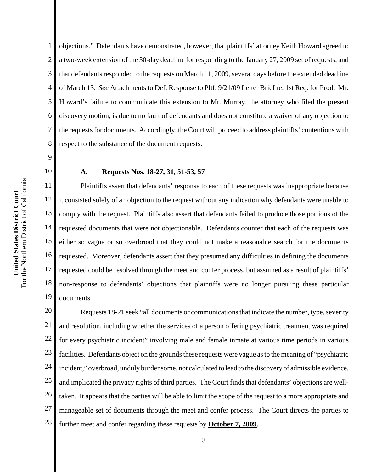4 5 6 7 8 9 10 11 12 13 14 of March 13. *See* Attachments to Def. Response to Pltf. 9/21/09 Letter Brief re: 1st Req. for Prod. Mr. Howard's failure to communicate this extension to Mr. Murray, the attorney who filed the present discovery motion, is due to no fault of defendants and does not constitute a waiver of any objection to the requests for documents. Accordingly, the Court will proceed to address plaintiffs' contentions with respect to the substance of the document requests. **A. Requests Nos. 18-27, 31, 51-53, 57**

1

2

3

15 16 17 18 19 Plaintiffs assert that defendants' response to each of these requests was inappropriate because it consisted solely of an objection to the request without any indication why defendants were unable to comply with the request. Plaintiffs also assert that defendants failed to produce those portions of the requested documents that were not objectionable. Defendants counter that each of the requests was either so vague or so overbroad that they could not make a reasonable search for the documents requested. Moreover, defendants assert that they presumed any difficulties in defining the documents requested could be resolved through the meet and confer process, but assumed as a result of plaintiffs' non-response to defendants' objections that plaintiffs were no longer pursuing these particular documents.

objections." Defendants have demonstrated, however, that plaintiffs' attorney Keith Howard agreed to

a two-week extension of the 30-day deadline for responding to the January 27, 2009 set of requests, and

that defendants responded to the requests on March 11, 2009, several days before the extended deadline

20 21 22 23 24 25 26 27 28 Requests 18-21 seek "all documents or communications that indicate the number, type, severity and resolution, including whether the services of a person offering psychiatric treatment was required for every psychiatric incident" involving male and female inmate at various time periods in various facilities. Defendants object on the grounds these requests were vague as to the meaning of "psychiatric incident," overbroad, unduly burdensome, not calculated to lead to the discovery of admissible evidence, and implicated the privacy rights of third parties. The Court finds that defendants' objections are welltaken. It appears that the parties will be able to limit the scope of the request to a more appropriate and manageable set of documents through the meet and confer process. The Court directs the parties to further meet and confer regarding these requests by **October 7, 2009**.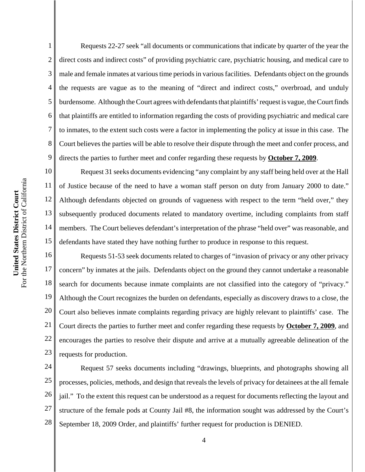5 6 7 8 9 10 For the Northern District of California For the Northern District of California 11 United States District Court **United States District Court** 12 13 14 15 16

1

2

3

4

Requests 22-27 seek "all documents or communications that indicate by quarter of the year the direct costs and indirect costs" of providing psychiatric care, psychiatric housing, and medical care to male and female inmates at various time periods in various facilities. Defendants object on the grounds the requests are vague as to the meaning of "direct and indirect costs," overbroad, and unduly burdensome.Although the Court agrees with defendants that plaintiffs' request is vague, the Court finds that plaintiffs are entitled to information regarding the costs of providing psychiatric and medical care to inmates, to the extent such costs were a factor in implementing the policy at issue in this case. The Court believes the parties will be able to resolve their dispute through the meet and confer process, and directs the parties to further meet and confer regarding these requests by **October 7, 2009**.

Request 31 seeks documents evidencing "any complaint by any staff being held over at the Hall of Justice because of the need to have a woman staff person on duty from January 2000 to date." Although defendants objected on grounds of vagueness with respect to the term "held over," they subsequently produced documents related to mandatory overtime, including complaints from staff members. The Court believes defendant's interpretation of the phrase "held over" was reasonable, and defendants have stated they have nothing further to produce in response to this request.

17 18 19 20 21 22 23 Requests 51-53 seek documents related to charges of "invasion of privacy or any other privacy concern" by inmates at the jails. Defendants object on the ground they cannot undertake a reasonable search for documents because inmate complaints are not classified into the category of "privacy." Although the Court recognizes the burden on defendants, especially as discovery draws to a close, the Court also believes inmate complaints regarding privacy are highly relevant to plaintiffs' case. The Court directs the parties to further meet and confer regarding these requests by **October 7, 2009**, and encourages the parties to resolve their dispute and arrive at a mutually agreeable delineation of the requests for production.

24 25 26 27 28 Request 57 seeks documents including "drawings, blueprints, and photographs showing all processes, policies, methods, and design that reveals the levels of privacy for detainees at the all female jail." To the extent this request can be understood as a request for documents reflecting the layout and structure of the female pods at County Jail #8, the information sought was addressed by the Court's September 18, 2009 Order, and plaintiffs' further request for production is DENIED.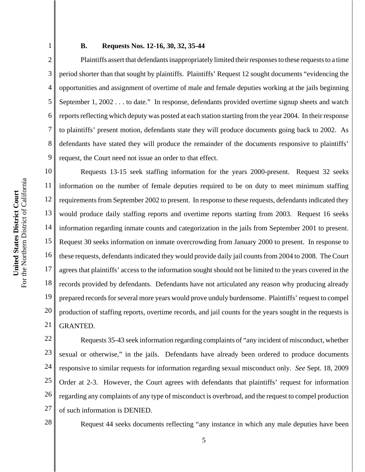1 2

3

4

5

6

7

8

9

# **B. Requests Nos. 12-16, 30, 32, 35-44**

Plaintiffs assert that defendants inappropriately limited their responses to these requests to a time period shorter than that sought by plaintiffs. Plaintiffs' Request 12 sought documents "evidencing the opportunities and assignment of overtime of male and female deputies working at the jails beginning September 1, 2002 . . . to date." In response, defendants provided overtime signup sheets and watch reports reflecting which deputy was posted at each station starting from the year 2004. In their response to plaintiffs' present motion, defendants state they will produce documents going back to 2002. As defendants have stated they will produce the remainder of the documents responsive to plaintiffs' request, the Court need not issue an order to that effect.

10 11 12 13 14 15 16 17 18 19 20 21 Requests 13-15 seek staffing information for the years 2000-present. Request 32 seeks information on the number of female deputies required to be on duty to meet minimum staffing requirements from September 2002 to present. In response to these requests, defendants indicated they would produce daily staffing reports and overtime reports starting from 2003. Request 16 seeks information regarding inmate counts and categorization in the jails from September 2001 to present. Request 30 seeks information on inmate overcrowding from January 2000 to present. In response to these requests, defendants indicated they would provide daily jail counts from 2004 to 2008. The Court agrees that plaintiffs' access to the information sought should not be limited to the years covered in the records provided by defendants. Defendants have not articulated any reason why producing already prepared records for several more years would prove unduly burdensome. Plaintiffs' request to compel production of staffing reports, overtime records, and jail counts for the years sought in the requests is GRANTED.

22 23 24 25 26 27 Requests 35-43 seek information regarding complaints of "any incident of misconduct, whether sexual or otherwise," in the jails. Defendants have already been ordered to produce documents responsive to similar requests for information regarding sexual misconduct only. *See* Sept. 18, 2009 Order at 2-3. However, the Court agrees with defendants that plaintiffs' request for information regarding any complaints of any type of misconduct is overbroad, and the request to compel production of such information is DENIED.

28

Request 44 seeks documents reflecting "any instance in which any male deputies have been